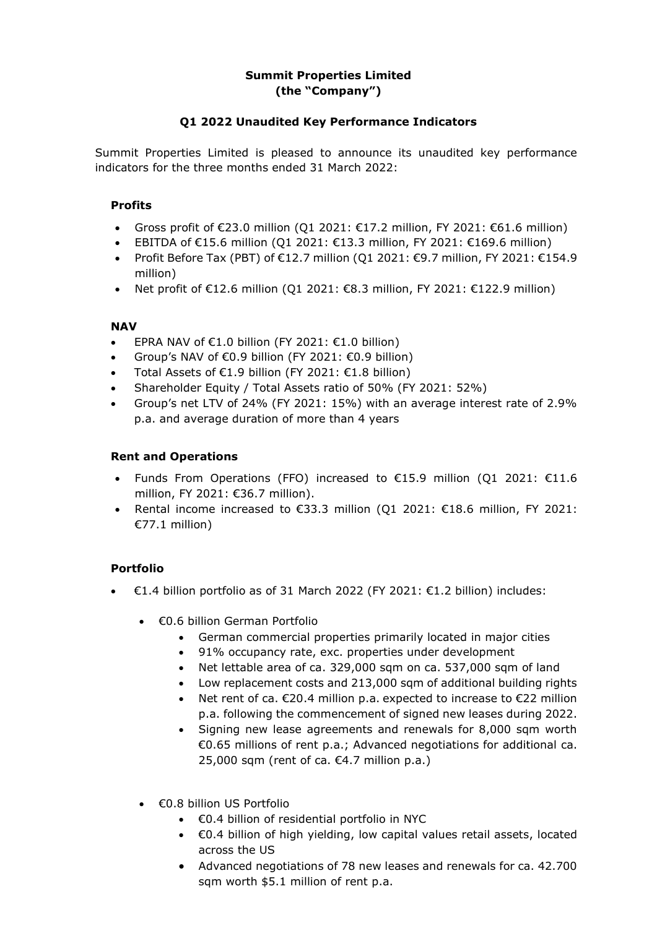# **Summit Properties Limited (the "Company")**

# **Q1 2022 Unaudited Key Performance Indicators**

Summit Properties Limited is pleased to announce its unaudited key performance indicators for the three months ended 31 March 2022:

#### **Profits**

- Gross profit of  $\epsilon$ 23.0 million (01 2021:  $\epsilon$ 17.2 million, FY 2021:  $\epsilon$ 61.6 million)
- EBITDA of  $€15.6$  million (Q1 2021:  $€13.3$  million, FY 2021:  $€169.6$  million)
- Profit Before Tax (PBT) of  $\epsilon$ 12.7 million (Q1 2021:  $\epsilon$ 9.7 million, FY 2021:  $\epsilon$ 154.9 million)
- Net profit of  $E12.6$  million (Q1 2021:  $E8.3$  million, FY 2021:  $E122.9$  million)

## **NAV**

- EPRA NAV of  $\epsilon$ 1.0 billion (FY 2021:  $\epsilon$ 1.0 billion)
- Group's NAV of  $\epsilon$ 0.9 billion (FY 2021:  $\epsilon$ 0.9 billion)
- Total Assets of €1.9 billion (FY 2021: €1.8 billion)
- Shareholder Equity / Total Assets ratio of 50% (FY 2021: 52%)
- Group's net LTV of 24% (FY 2021: 15%) with an average interest rate of 2.9% p.a. and average duration of more than 4 years

## **Rent and Operations**

- Funds From Operations (FFO) increased to €15.9 million (Q1 2021: €11.6 million, FY 2021: €36.7 million).
- Rental income increased to  $€33.3$  million (Q1 2021:  $€18.6$  million, FY 2021: €77.1 million)

# **Portfolio**

- €1.4 billion portfolio as of 31 March 2022 (FY 2021: €1.2 billion) includes:
	- €0.6 billion German Portfolio
		- German commercial properties primarily located in major cities
		- 91% occupancy rate, exc. properties under development
		- Net lettable area of ca. 329,000 sqm on ca. 537,000 sqm of land
		- Low replacement costs and 213,000 sqm of additional building rights
		- Net rent of ca. €20.4 million p.a. expected to increase to €22 million p.a. following the commencement of signed new leases during 2022.
		- Signing new lease agreements and renewals for 8,000 sqm worth €0.65 millions of rent p.a.; Advanced negotiations for additional ca. 25,000 sqm (rent of ca. €4.7 million p.a.)
	- €0.8 billion US Portfolio
		- €0.4 billion of residential portfolio in NYC
		- €0.4 billion of high yielding, low capital values retail assets, located across the US
		- Advanced negotiations of 78 new leases and renewals for ca. 42.700 sqm worth \$5.1 million of rent p.a.